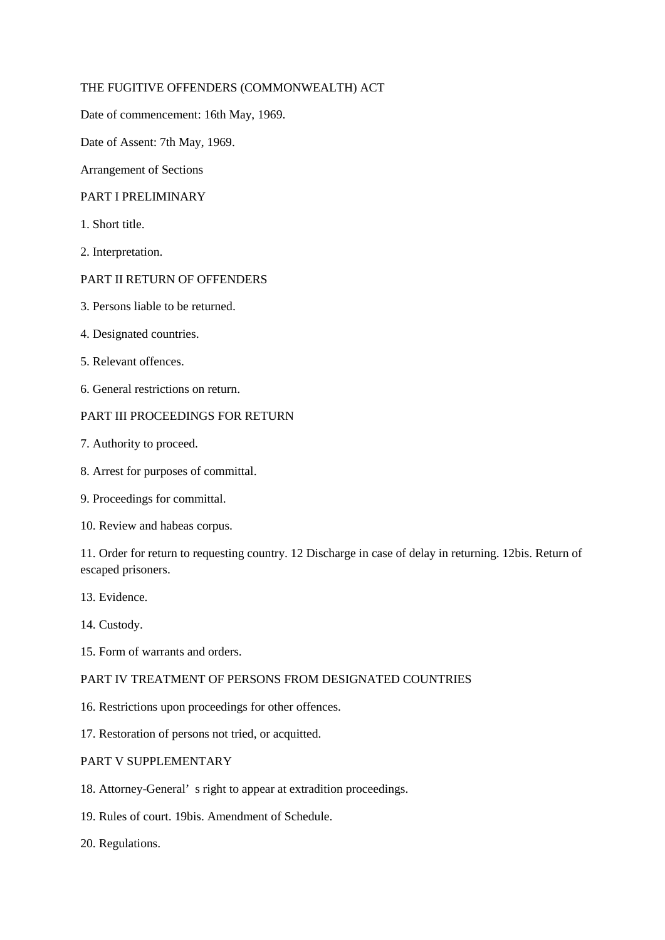### THE FUGITIVE OFFENDERS (COMMONWEALTH) ACT

Date of commencement: 16th May, 1969.

Date of Assent: 7th May, 1969.

Arrangement of Sections

### PART I PRELIMINARY

- 1. Short title.
- 2. Interpretation.

### PART II RETURN OF OFFENDERS

- 3. Persons liable to be returned.
- 4. Designated countries.
- 5. Relevant offences.
- 6. General restrictions on return.

# PART III PROCEEDINGS FOR RETURN

- 7. Authority to proceed.
- 8. Arrest for purposes of committal.
- 9. Proceedings for committal.
- 10. Review and habeas corpus.

11. Order for return to requesting country. 12 Discharge in case of delay in returning. 12bis. Return of escaped prisoners.

- 13. Evidence.
- 14. Custody.
- 15. Form of warrants and orders.

## PART IV TREATMENT OF PERSONS FROM DESIGNATED COUNTRIES

- 16. Restrictions upon proceedings for other offences.
- 17. Restoration of persons not tried, or acquitted.

## PART V SUPPLEMENTARY

- 18. Attorney-General' s right to appear at extradition proceedings.
- 19. Rules of court. 19bis. Amendment of Schedule.
- 20. Regulations.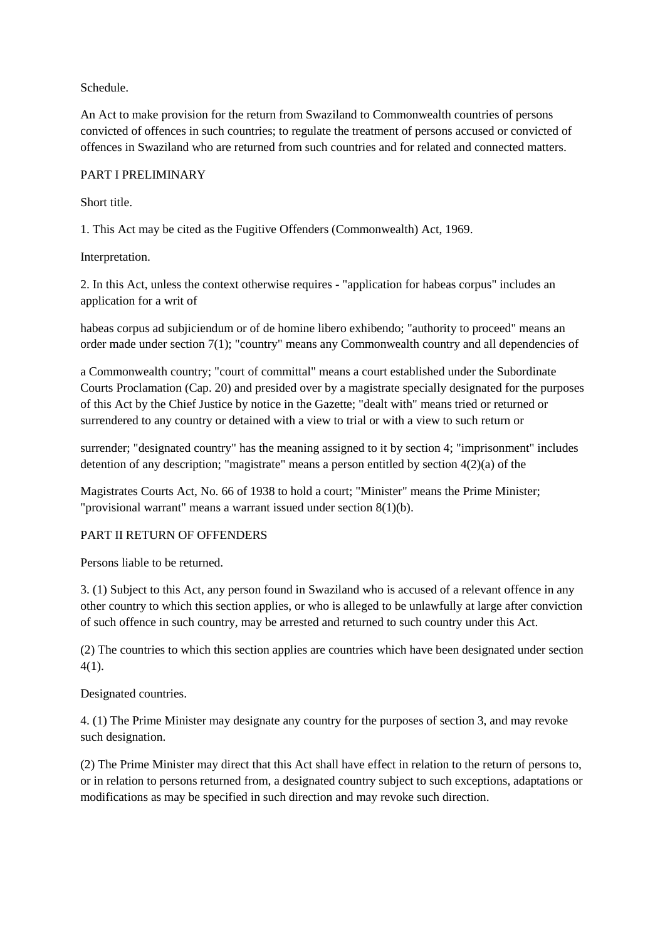Schedule.

An Act to make provision for the return from Swaziland to Commonwealth countries of persons convicted of offences in such countries; to regulate the treatment of persons accused or convicted of offences in Swaziland who are returned from such countries and for related and connected matters.

#### PART I PRELIMINARY

Short title.

1. This Act may be cited as the Fugitive Offenders (Commonwealth) Act, 1969.

Interpretation.

2. In this Act, unless the context otherwise requires - "application for habeas corpus" includes an application for a writ of

habeas corpus ad subjiciendum or of de homine libero exhibendo; "authority to proceed" means an order made under section 7(1); "country" means any Commonwealth country and all dependencies of

a Commonwealth country; "court of committal" means a court established under the Subordinate Courts Proclamation (Cap. 20) and presided over by a magistrate specially designated for the purposes of this Act by the Chief Justice by notice in the Gazette; "dealt with" means tried or returned or surrendered to any country or detained with a view to trial or with a view to such return or

surrender; "designated country" has the meaning assigned to it by section 4; "imprisonment" includes detention of any description; "magistrate" means a person entitled by section 4(2)(a) of the

Magistrates Courts Act, No. 66 of 1938 to hold a court; "Minister" means the Prime Minister; "provisional warrant" means a warrant issued under section 8(1)(b).

#### PART II RETURN OF OFFENDERS

Persons liable to be returned.

3. (1) Subject to this Act, any person found in Swaziland who is accused of a relevant offence in any other country to which this section applies, or who is alleged to be unlawfully at large after conviction of such offence in such country, may be arrested and returned to such country under this Act.

(2) The countries to which this section applies are countries which have been designated under section 4(1).

Designated countries.

4. (1) The Prime Minister may designate any country for the purposes of section 3, and may revoke such designation.

(2) The Prime Minister may direct that this Act shall have effect in relation to the return of persons to, or in relation to persons returned from, a designated country subject to such exceptions, adaptations or modifications as may be specified in such direction and may revoke such direction.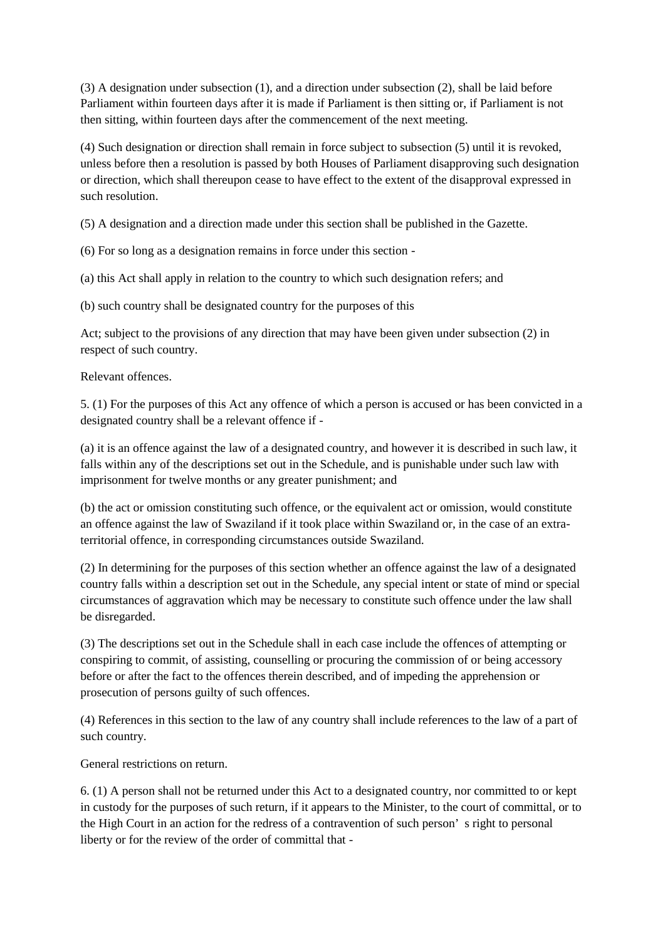(3) A designation under subsection (1), and a direction under subsection (2), shall be laid before Parliament within fourteen days after it is made if Parliament is then sitting or, if Parliament is not then sitting, within fourteen days after the commencement of the next meeting.

(4) Such designation or direction shall remain in force subject to subsection (5) until it is revoked, unless before then a resolution is passed by both Houses of Parliament disapproving such designation or direction, which shall thereupon cease to have effect to the extent of the disapproval expressed in such resolution.

(5) A designation and a direction made under this section shall be published in the Gazette.

(6) For so long as a designation remains in force under this section -

(a) this Act shall apply in relation to the country to which such designation refers; and

(b) such country shall be designated country for the purposes of this

Act; subject to the provisions of any direction that may have been given under subsection (2) in respect of such country.

Relevant offences.

5. (1) For the purposes of this Act any offence of which a person is accused or has been convicted in a designated country shall be a relevant offence if -

(a) it is an offence against the law of a designated country, and however it is described in such law, it falls within any of the descriptions set out in the Schedule, and is punishable under such law with imprisonment for twelve months or any greater punishment; and

(b) the act or omission constituting such offence, or the equivalent act or omission, would constitute an offence against the law of Swaziland if it took place within Swaziland or, in the case of an extraterritorial offence, in corresponding circumstances outside Swaziland.

(2) In determining for the purposes of this section whether an offence against the law of a designated country falls within a description set out in the Schedule, any special intent or state of mind or special circumstances of aggravation which may be necessary to constitute such offence under the law shall be disregarded.

(3) The descriptions set out in the Schedule shall in each case include the offences of attempting or conspiring to commit, of assisting, counselling or procuring the commission of or being accessory before or after the fact to the offences therein described, and of impeding the apprehension or prosecution of persons guilty of such offences.

(4) References in this section to the law of any country shall include references to the law of a part of such country.

General restrictions on return.

6. (1) A person shall not be returned under this Act to a designated country, nor committed to or kept in custody for the purposes of such return, if it appears to the Minister, to the court of committal, or to the High Court in an action for the redress of a contravention of such person' s right to personal liberty or for the review of the order of committal that -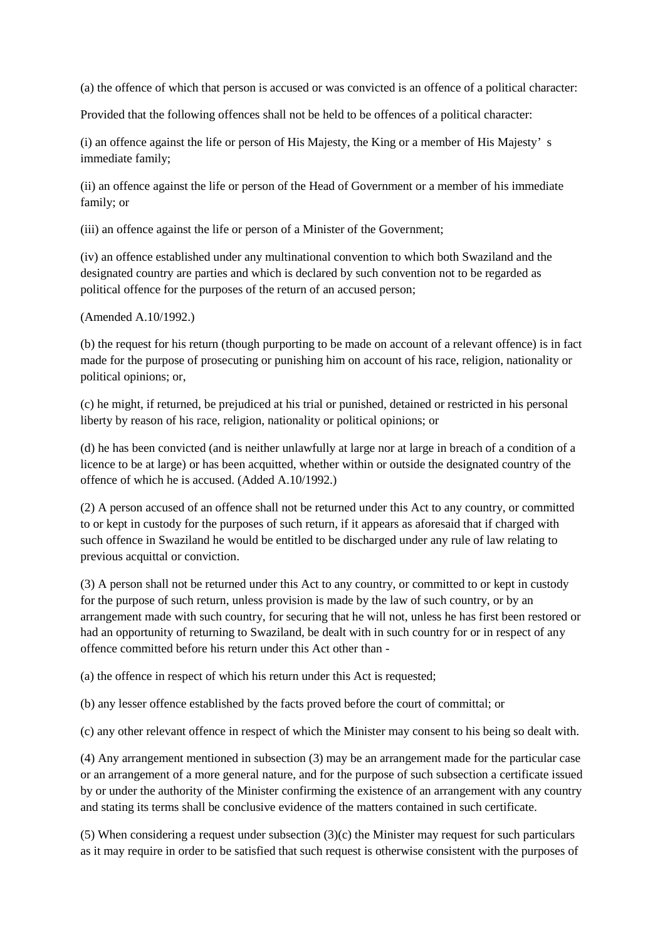(a) the offence of which that person is accused or was convicted is an offence of a political character:

Provided that the following offences shall not be held to be offences of a political character:

(i) an offence against the life or person of His Majesty, the King or a member of His Majesty' s immediate family;

(ii) an offence against the life or person of the Head of Government or a member of his immediate family; or

(iii) an offence against the life or person of a Minister of the Government;

(iv) an offence established under any multinational convention to which both Swaziland and the designated country are parties and which is declared by such convention not to be regarded as political offence for the purposes of the return of an accused person;

(Amended A.10/1992.)

(b) the request for his return (though purporting to be made on account of a relevant offence) is in fact made for the purpose of prosecuting or punishing him on account of his race, religion, nationality or political opinions; or,

(c) he might, if returned, be prejudiced at his trial or punished, detained or restricted in his personal liberty by reason of his race, religion, nationality or political opinions; or

(d) he has been convicted (and is neither unlawfully at large nor at large in breach of a condition of a licence to be at large) or has been acquitted, whether within or outside the designated country of the offence of which he is accused. (Added A.10/1992.)

(2) A person accused of an offence shall not be returned under this Act to any country, or committed to or kept in custody for the purposes of such return, if it appears as aforesaid that if charged with such offence in Swaziland he would be entitled to be discharged under any rule of law relating to previous acquittal or conviction.

(3) A person shall not be returned under this Act to any country, or committed to or kept in custody for the purpose of such return, unless provision is made by the law of such country, or by an arrangement made with such country, for securing that he will not, unless he has first been restored or had an opportunity of returning to Swaziland, be dealt with in such country for or in respect of any offence committed before his return under this Act other than -

(a) the offence in respect of which his return under this Act is requested;

(b) any lesser offence established by the facts proved before the court of committal; or

(c) any other relevant offence in respect of which the Minister may consent to his being so dealt with.

(4) Any arrangement mentioned in subsection (3) may be an arrangement made for the particular case or an arrangement of a more general nature, and for the purpose of such subsection a certificate issued by or under the authority of the Minister confirming the existence of an arrangement with any country and stating its terms shall be conclusive evidence of the matters contained in such certificate.

(5) When considering a request under subsection (3)(c) the Minister may request for such particulars as it may require in order to be satisfied that such request is otherwise consistent with the purposes of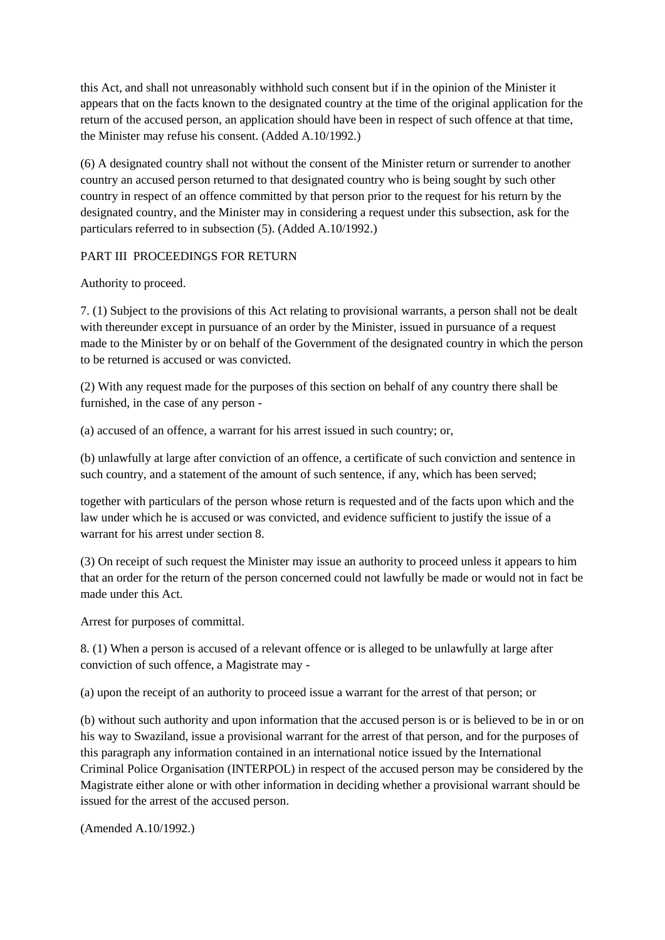this Act, and shall not unreasonably withhold such consent but if in the opinion of the Minister it appears that on the facts known to the designated country at the time of the original application for the return of the accused person, an application should have been in respect of such offence at that time, the Minister may refuse his consent. (Added A.10/1992.)

(6) A designated country shall not without the consent of the Minister return or surrender to another country an accused person returned to that designated country who is being sought by such other country in respect of an offence committed by that person prior to the request for his return by the designated country, and the Minister may in considering a request under this subsection, ask for the particulars referred to in subsection (5). (Added A.10/1992.)

# PART III PROCEEDINGS FOR RETURN

Authority to proceed.

7. (1) Subject to the provisions of this Act relating to provisional warrants, a person shall not be dealt with thereunder except in pursuance of an order by the Minister, issued in pursuance of a request made to the Minister by or on behalf of the Government of the designated country in which the person to be returned is accused or was convicted.

(2) With any request made for the purposes of this section on behalf of any country there shall be furnished, in the case of any person -

(a) accused of an offence, a warrant for his arrest issued in such country; or,

(b) unlawfully at large after conviction of an offence, a certificate of such conviction and sentence in such country, and a statement of the amount of such sentence, if any, which has been served;

together with particulars of the person whose return is requested and of the facts upon which and the law under which he is accused or was convicted, and evidence sufficient to justify the issue of a warrant for his arrest under section 8.

(3) On receipt of such request the Minister may issue an authority to proceed unless it appears to him that an order for the return of the person concerned could not lawfully be made or would not in fact be made under this Act.

Arrest for purposes of committal.

8. (1) When a person is accused of a relevant offence or is alleged to be unlawfully at large after conviction of such offence, a Magistrate may -

(a) upon the receipt of an authority to proceed issue a warrant for the arrest of that person; or

(b) without such authority and upon information that the accused person is or is believed to be in or on his way to Swaziland, issue a provisional warrant for the arrest of that person, and for the purposes of this paragraph any information contained in an international notice issued by the International Criminal Police Organisation (INTERPOL) in respect of the accused person may be considered by the Magistrate either alone or with other information in deciding whether a provisional warrant should be issued for the arrest of the accused person.

(Amended A.10/1992.)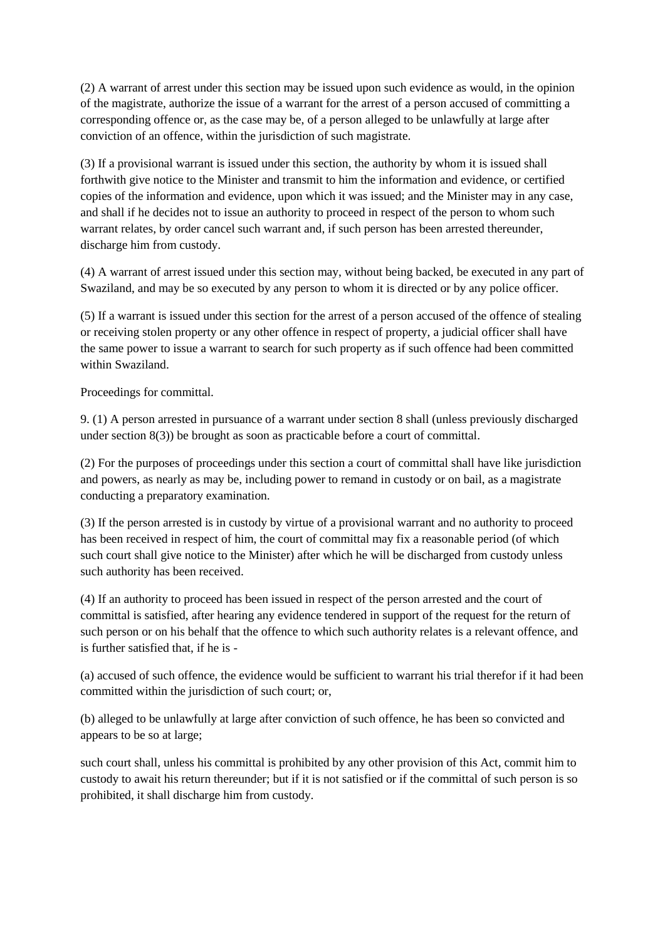(2) A warrant of arrest under this section may be issued upon such evidence as would, in the opinion of the magistrate, authorize the issue of a warrant for the arrest of a person accused of committing a corresponding offence or, as the case may be, of a person alleged to be unlawfully at large after conviction of an offence, within the jurisdiction of such magistrate.

(3) If a provisional warrant is issued under this section, the authority by whom it is issued shall forthwith give notice to the Minister and transmit to him the information and evidence, or certified copies of the information and evidence, upon which it was issued; and the Minister may in any case, and shall if he decides not to issue an authority to proceed in respect of the person to whom such warrant relates, by order cancel such warrant and, if such person has been arrested thereunder, discharge him from custody.

(4) A warrant of arrest issued under this section may, without being backed, be executed in any part of Swaziland, and may be so executed by any person to whom it is directed or by any police officer.

(5) If a warrant is issued under this section for the arrest of a person accused of the offence of stealing or receiving stolen property or any other offence in respect of property, a judicial officer shall have the same power to issue a warrant to search for such property as if such offence had been committed within Swaziland.

Proceedings for committal.

9. (1) A person arrested in pursuance of a warrant under section 8 shall (unless previously discharged under section 8(3)) be brought as soon as practicable before a court of committal.

(2) For the purposes of proceedings under this section a court of committal shall have like jurisdiction and powers, as nearly as may be, including power to remand in custody or on bail, as a magistrate conducting a preparatory examination.

(3) If the person arrested is in custody by virtue of a provisional warrant and no authority to proceed has been received in respect of him, the court of committal may fix a reasonable period (of which such court shall give notice to the Minister) after which he will be discharged from custody unless such authority has been received.

(4) If an authority to proceed has been issued in respect of the person arrested and the court of committal is satisfied, after hearing any evidence tendered in support of the request for the return of such person or on his behalf that the offence to which such authority relates is a relevant offence, and is further satisfied that, if he is -

(a) accused of such offence, the evidence would be sufficient to warrant his trial therefor if it had been committed within the jurisdiction of such court; or,

(b) alleged to be unlawfully at large after conviction of such offence, he has been so convicted and appears to be so at large;

such court shall, unless his committal is prohibited by any other provision of this Act, commit him to custody to await his return thereunder; but if it is not satisfied or if the committal of such person is so prohibited, it shall discharge him from custody.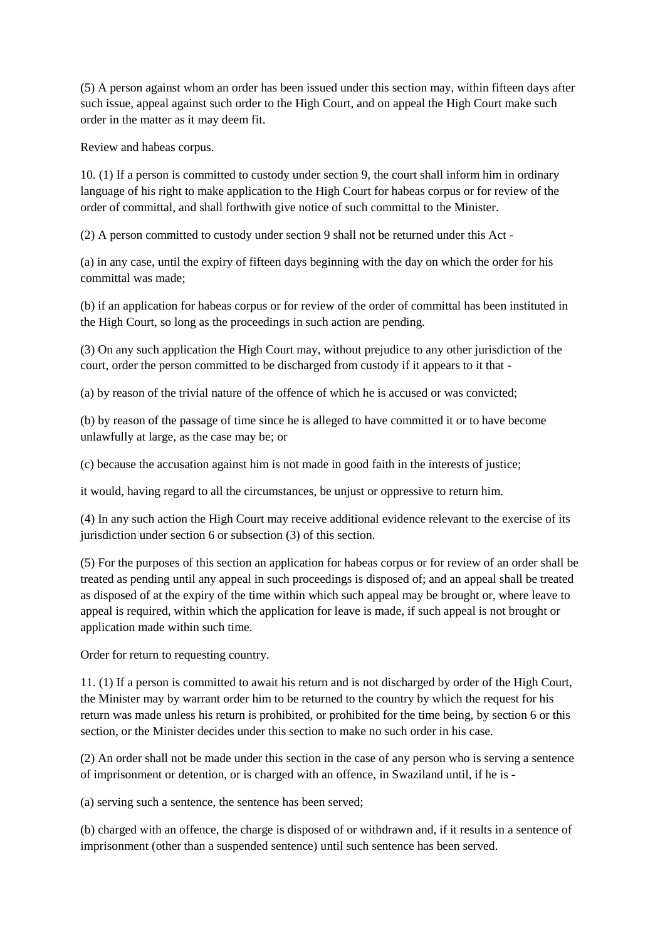(5) A person against whom an order has been issued under this section may, within fifteen days after such issue, appeal against such order to the High Court, and on appeal the High Court make such order in the matter as it may deem fit.

Review and habeas corpus.

10. (1) If a person is committed to custody under section 9, the court shall inform him in ordinary language of his right to make application to the High Court for habeas corpus or for review of the order of committal, and shall forthwith give notice of such committal to the Minister.

(2) A person committed to custody under section 9 shall not be returned under this Act -

(a) in any case, until the expiry of fifteen days beginning with the day on which the order for his committal was made;

(b) if an application for habeas corpus or for review of the order of committal has been instituted in the High Court, so long as the proceedings in such action are pending.

(3) On any such application the High Court may, without prejudice to any other jurisdiction of the court, order the person committed to be discharged from custody if it appears to it that -

(a) by reason of the trivial nature of the offence of which he is accused or was convicted;

(b) by reason of the passage of time since he is alleged to have committed it or to have become unlawfully at large, as the case may be; or

(c) because the accusation against him is not made in good faith in the interests of justice;

it would, having regard to all the circumstances, be unjust or oppressive to return him.

(4) In any such action the High Court may receive additional evidence relevant to the exercise of its jurisdiction under section 6 or subsection (3) of this section.

(5) For the purposes of this section an application for habeas corpus or for review of an order shall be treated as pending until any appeal in such proceedings is disposed of; and an appeal shall be treated as disposed of at the expiry of the time within which such appeal may be brought or, where leave to appeal is required, within which the application for leave is made, if such appeal is not brought or application made within such time.

Order for return to requesting country.

11. (1) If a person is committed to await his return and is not discharged by order of the High Court, the Minister may by warrant order him to be returned to the country by which the request for his return was made unless his return is prohibited, or prohibited for the time being, by section 6 or this section, or the Minister decides under this section to make no such order in his case.

(2) An order shall not be made under this section in the case of any person who is serving a sentence of imprisonment or detention, or is charged with an offence, in Swaziland until, if he is -

(a) serving such a sentence, the sentence has been served;

(b) charged with an offence, the charge is disposed of or withdrawn and, if it results in a sentence of imprisonment (other than a suspended sentence) until such sentence has been served.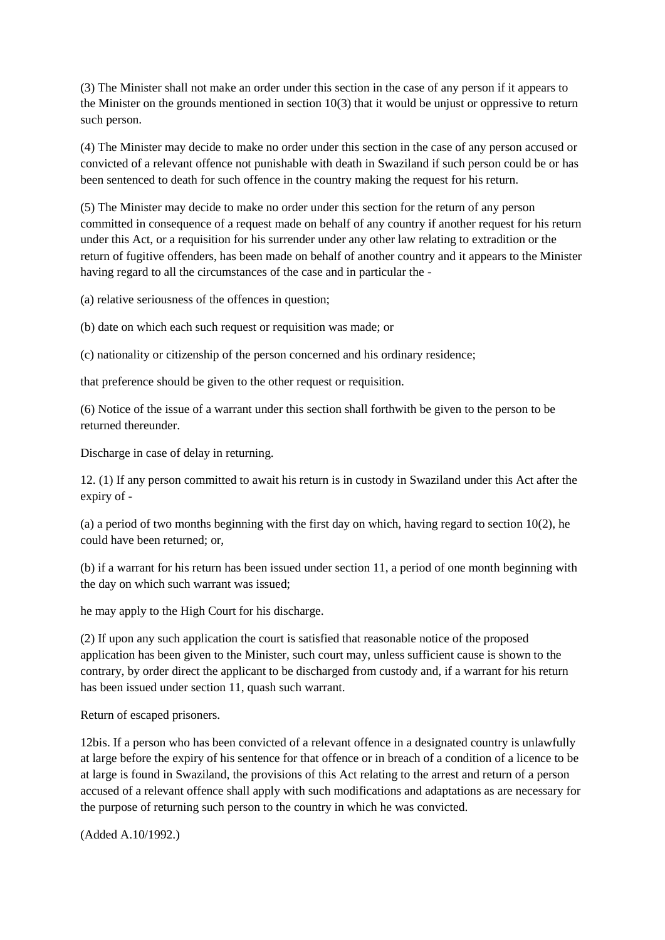(3) The Minister shall not make an order under this section in the case of any person if it appears to the Minister on the grounds mentioned in section 10(3) that it would be unjust or oppressive to return such person.

(4) The Minister may decide to make no order under this section in the case of any person accused or convicted of a relevant offence not punishable with death in Swaziland if such person could be or has been sentenced to death for such offence in the country making the request for his return.

(5) The Minister may decide to make no order under this section for the return of any person committed in consequence of a request made on behalf of any country if another request for his return under this Act, or a requisition for his surrender under any other law relating to extradition or the return of fugitive offenders, has been made on behalf of another country and it appears to the Minister having regard to all the circumstances of the case and in particular the -

(a) relative seriousness of the offences in question;

(b) date on which each such request or requisition was made; or

(c) nationality or citizenship of the person concerned and his ordinary residence;

that preference should be given to the other request or requisition.

(6) Notice of the issue of a warrant under this section shall forthwith be given to the person to be returned thereunder.

Discharge in case of delay in returning.

12. (1) If any person committed to await his return is in custody in Swaziland under this Act after the expiry of -

(a) a period of two months beginning with the first day on which, having regard to section 10(2), he could have been returned; or,

(b) if a warrant for his return has been issued under section 11, a period of one month beginning with the day on which such warrant was issued;

he may apply to the High Court for his discharge.

(2) If upon any such application the court is satisfied that reasonable notice of the proposed application has been given to the Minister, such court may, unless sufficient cause is shown to the contrary, by order direct the applicant to be discharged from custody and, if a warrant for his return has been issued under section 11, quash such warrant.

Return of escaped prisoners.

12bis. If a person who has been convicted of a relevant offence in a designated country is unlawfully at large before the expiry of his sentence for that offence or in breach of a condition of a licence to be at large is found in Swaziland, the provisions of this Act relating to the arrest and return of a person accused of a relevant offence shall apply with such modifications and adaptations as are necessary for the purpose of returning such person to the country in which he was convicted.

(Added A.10/1992.)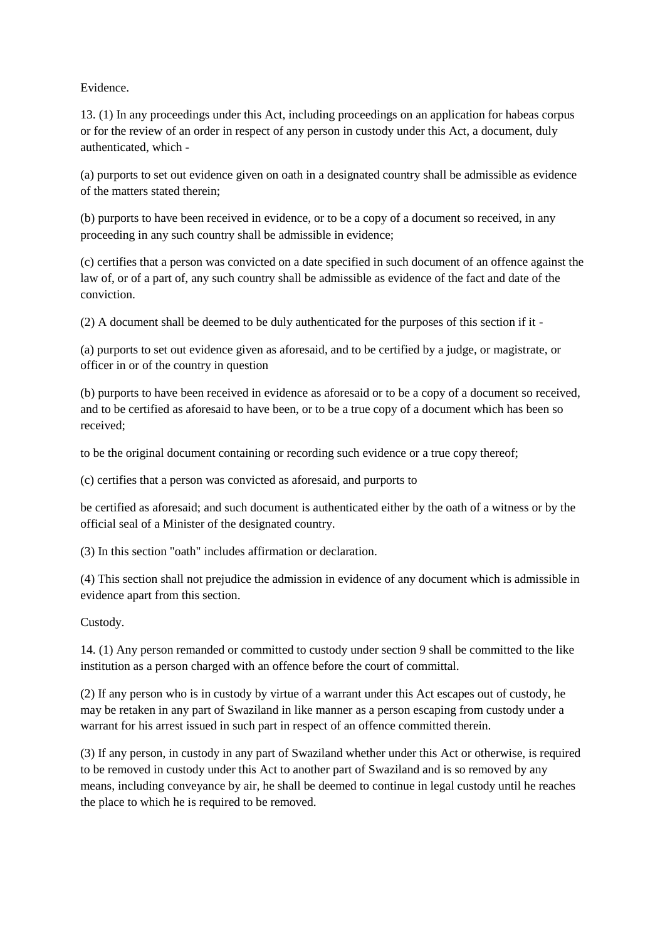Evidence.

13. (1) In any proceedings under this Act, including proceedings on an application for habeas corpus or for the review of an order in respect of any person in custody under this Act, a document, duly authenticated, which -

(a) purports to set out evidence given on oath in a designated country shall be admissible as evidence of the matters stated therein;

(b) purports to have been received in evidence, or to be a copy of a document so received, in any proceeding in any such country shall be admissible in evidence;

(c) certifies that a person was convicted on a date specified in such document of an offence against the law of, or of a part of, any such country shall be admissible as evidence of the fact and date of the conviction.

(2) A document shall be deemed to be duly authenticated for the purposes of this section if it -

(a) purports to set out evidence given as aforesaid, and to be certified by a judge, or magistrate, or officer in or of the country in question

(b) purports to have been received in evidence as aforesaid or to be a copy of a document so received, and to be certified as aforesaid to have been, or to be a true copy of a document which has been so received;

to be the original document containing or recording such evidence or a true copy thereof;

(c) certifies that a person was convicted as aforesaid, and purports to

be certified as aforesaid; and such document is authenticated either by the oath of a witness or by the official seal of a Minister of the designated country.

(3) In this section "oath" includes affirmation or declaration.

(4) This section shall not prejudice the admission in evidence of any document which is admissible in evidence apart from this section.

Custody.

14. (1) Any person remanded or committed to custody under section 9 shall be committed to the like institution as a person charged with an offence before the court of committal.

(2) If any person who is in custody by virtue of a warrant under this Act escapes out of custody, he may be retaken in any part of Swaziland in like manner as a person escaping from custody under a warrant for his arrest issued in such part in respect of an offence committed therein.

(3) If any person, in custody in any part of Swaziland whether under this Act or otherwise, is required to be removed in custody under this Act to another part of Swaziland and is so removed by any means, including conveyance by air, he shall be deemed to continue in legal custody until he reaches the place to which he is required to be removed.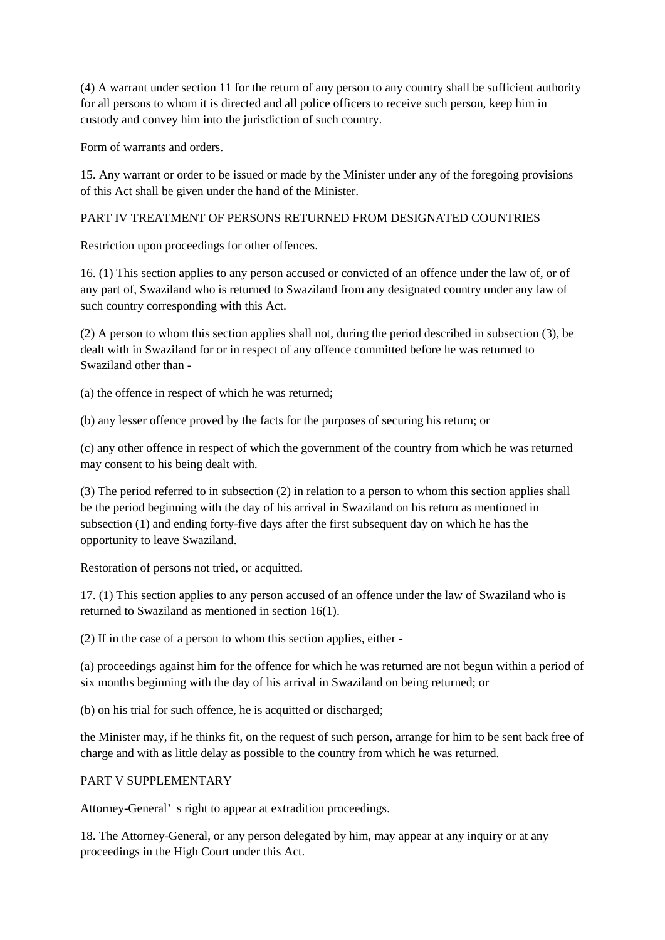(4) A warrant under section 11 for the return of any person to any country shall be sufficient authority for all persons to whom it is directed and all police officers to receive such person, keep him in custody and convey him into the jurisdiction of such country.

Form of warrants and orders.

15. Any warrant or order to be issued or made by the Minister under any of the foregoing provisions of this Act shall be given under the hand of the Minister.

# PART IV TREATMENT OF PERSONS RETURNED FROM DESIGNATED COUNTRIES

Restriction upon proceedings for other offences.

16. (1) This section applies to any person accused or convicted of an offence under the law of, or of any part of, Swaziland who is returned to Swaziland from any designated country under any law of such country corresponding with this Act.

(2) A person to whom this section applies shall not, during the period described in subsection (3), be dealt with in Swaziland for or in respect of any offence committed before he was returned to Swaziland other than -

(a) the offence in respect of which he was returned;

(b) any lesser offence proved by the facts for the purposes of securing his return; or

(c) any other offence in respect of which the government of the country from which he was returned may consent to his being dealt with.

(3) The period referred to in subsection (2) in relation to a person to whom this section applies shall be the period beginning with the day of his arrival in Swaziland on his return as mentioned in subsection (1) and ending forty-five days after the first subsequent day on which he has the opportunity to leave Swaziland.

Restoration of persons not tried, or acquitted.

17. (1) This section applies to any person accused of an offence under the law of Swaziland who is returned to Swaziland as mentioned in section 16(1).

(2) If in the case of a person to whom this section applies, either -

(a) proceedings against him for the offence for which he was returned are not begun within a period of six months beginning with the day of his arrival in Swaziland on being returned; or

(b) on his trial for such offence, he is acquitted or discharged;

the Minister may, if he thinks fit, on the request of such person, arrange for him to be sent back free of charge and with as little delay as possible to the country from which he was returned.

## PART V SUPPLEMENTARY

Attorney-General' s right to appear at extradition proceedings.

18. The Attorney-General, or any person delegated by him, may appear at any inquiry or at any proceedings in the High Court under this Act.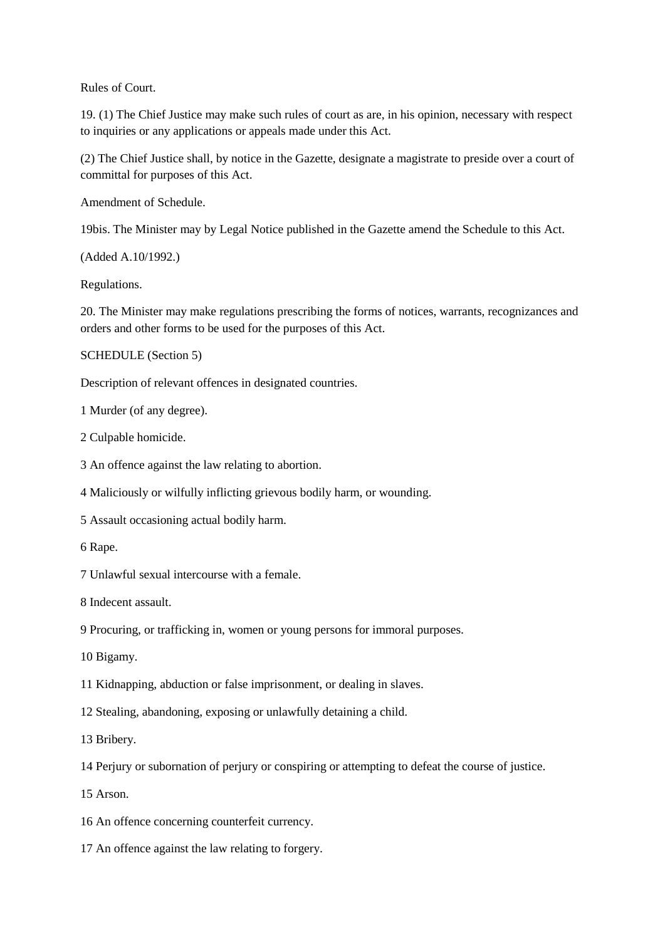Rules of Court.

19. (1) The Chief Justice may make such rules of court as are, in his opinion, necessary with respect to inquiries or any applications or appeals made under this Act.

(2) The Chief Justice shall, by notice in the Gazette, designate a magistrate to preside over a court of committal for purposes of this Act.

Amendment of Schedule.

19bis. The Minister may by Legal Notice published in the Gazette amend the Schedule to this Act.

(Added A.10/1992.)

Regulations.

20. The Minister may make regulations prescribing the forms of notices, warrants, recognizances and orders and other forms to be used for the purposes of this Act.

SCHEDULE (Section 5)

Description of relevant offences in designated countries.

1 Murder (of any degree).

2 Culpable homicide.

3 An offence against the law relating to abortion.

4 Maliciously or wilfully inflicting grievous bodily harm, or wounding.

5 Assault occasioning actual bodily harm.

6 Rape.

7 Unlawful sexual intercourse with a female.

8 Indecent assault.

9 Procuring, or trafficking in, women or young persons for immoral purposes.

10 Bigamy.

11 Kidnapping, abduction or false imprisonment, or dealing in slaves.

12 Stealing, abandoning, exposing or unlawfully detaining a child.

13 Bribery.

14 Perjury or subornation of perjury or conspiring or attempting to defeat the course of justice.

15 Arson.

- 16 An offence concerning counterfeit currency.
- 17 An offence against the law relating to forgery.